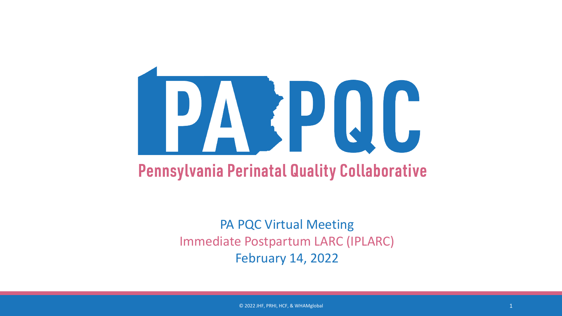# PARPQC

### **Pennsylvania Perinatal Quality Collaborative**

PA PQC Virtual Meeting Immediate Postpartum LARC (IPLARC) February 14, 2022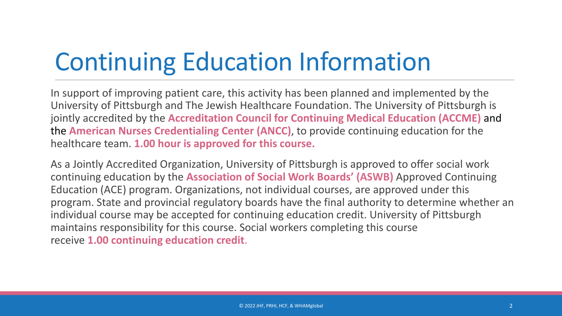# Continuing Education Information

In support of improving patient care, this activity has been planned and implemented by the University of Pittsburgh and The Jewish Healthcare Foundation. The University of Pittsburgh is jointly accredited by the **Accreditation Council for Continuing Medical Education (ACCME)** and the **American Nurses Credentialing Center (ANCC)**, to provide continuing education for the healthcare team. **1.00 hour is approved for this course.**

As a Jointly Accredited Organization, University of Pittsburgh is approved to offer social work continuing education by the **Association of Social Work Boards' (ASWB)** Approved Continuing Education (ACE) program. Organizations, not individual courses, are approved under this program. State and provincial regulatory boards have the final authority to determine whether an individual course may be accepted for continuing education credit. University of Pittsburgh maintains responsibility for this course. Social workers completing this course receive **1.00 continuing education credit**.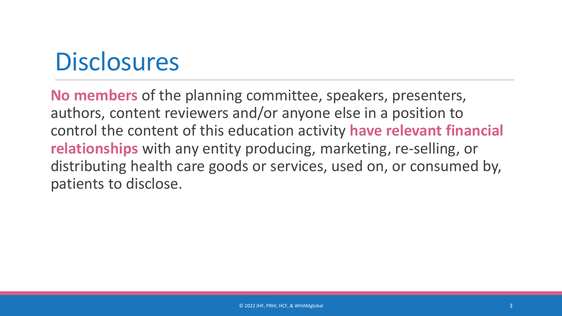## **Disclosures**

**No members** of the planning committee, speakers, presenters, authors, content reviewers and/or anyone else in a position to control the content of this education activity **have relevant financial relationships** with any entity producing, marketing, re-selling, or distributing health care goods or services, used on, or consumed by, patients to disclose.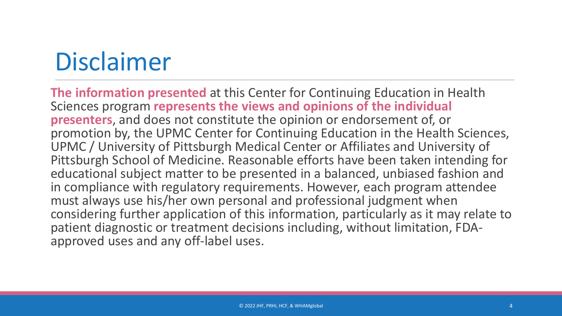# Disclaimer

**The information presented** at this Center for Continuing Education in Health Sciences program **represents the views and opinions of the individual presenters**, and does not constitute the opinion or endorsement of, or promotion by, the UPMC Center for Continuing Education in the Health Sciences, UPMC / University of Pittsburgh Medical Center or Affiliates and University of Pittsburgh School of Medicine. Reasonable efforts have been taken intending for educational subject matter to be presented in a balanced, unbiased fashion and in compliance with regulatory requirements. However, each program attendee must always use his/her own personal and professional judgment when considering further application of this information, particularly as it may relate to patient diagnostic or treatment decisions including, without limitation, FDA- approved uses and any off-label uses.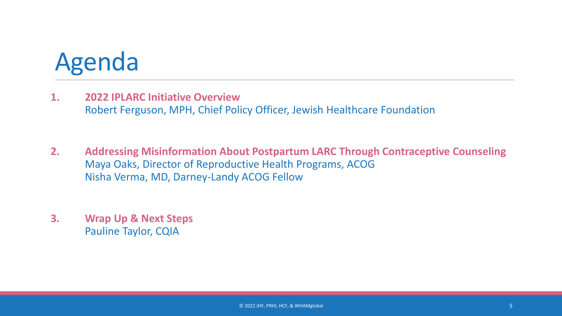## Agenda

- **1. 2022 IPLARC Initiative Overview** Robert Ferguson, MPH, Chief Policy Officer, Jewish Healthcare Foundation
- **2. Addressing Misinformation About Postpartum LARC Through Contraceptive Counseling**  Maya Oaks, Director of Reproductive Health Programs, ACOG Nisha Verma, MD, Darney-Landy ACOG Fellow
- **3. Wrap Up & Next Steps** Pauline Taylor, CQIA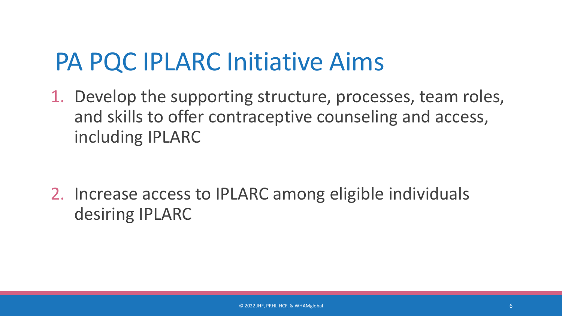## PA PQC IPLARC Initiative Aims

1. Develop the supporting structure, processes, team roles, and skills to offer contraceptive counseling and access, including IPLARC

2. Increase access to IPLARC among eligible individuals desiring IPLARC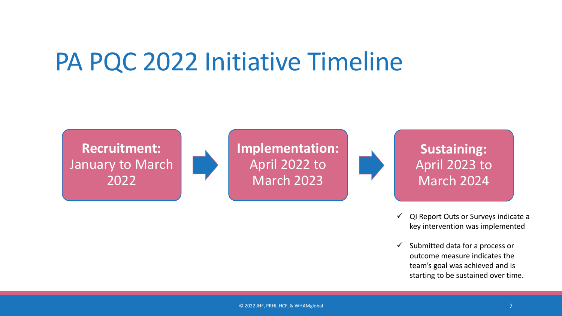## PA PQC 2022 Initiative Timeline

**Recruitment:** January to March 2022

**Implementation:**  April 2022 to March 2023

**Sustaining:**  April 2023 to March 2024

- $\checkmark$  QI Report Outs or Surveys indicate a key intervention was implemented
- $\checkmark$  Submitted data for a process or outcome measure indicates the team's goal was achieved and is starting to be sustained over time.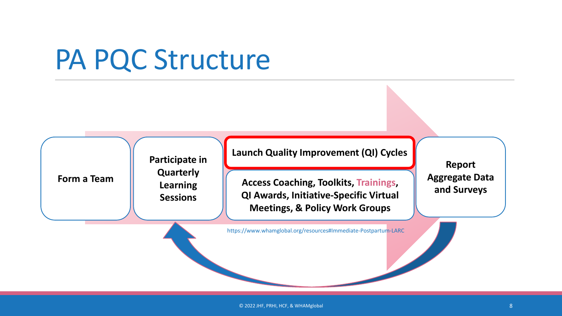## PA PQC Structure

**Form a Team**

**Learning Sessions**

**Participate in** 

**Quarterly** 

#### **Launch Quality Improvement (QI) Cycles**

**Access Coaching, Toolkits, Trainings, QI Awards, Initiative-Specific Virtual Meetings, & Policy Work Groups**

**Report Aggregate Data and Surveys**

https://www.whamglobal.org/resources#Immediate-Postpartum-LARC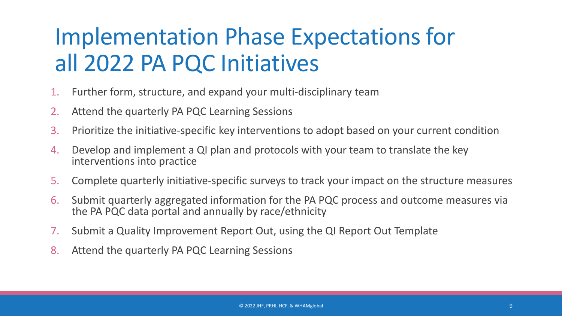## Implementation Phase Expectations for all 2022 PA PQC Initiatives

- 1. Further form, structure, and expand your multi-disciplinary team
- 2. Attend the quarterly PA PQC Learning Sessions
- 3. Prioritize the initiative-specific key interventions to adopt based on your current condition
- 4. Develop and implement a QI plan and protocols with your team to translate the key interventions into practice
- 5. Complete quarterly initiative-specific surveys to track your impact on the structure measures
- 6. Submit quarterly aggregated information for the PA PQC process and outcome measures via the PA PQC data portal and annually by race/ethnicity
- 7. Submit a Quality Improvement Report Out, using the QI Report Out Template
- 8. Attend the quarterly PA PQC Learning Sessions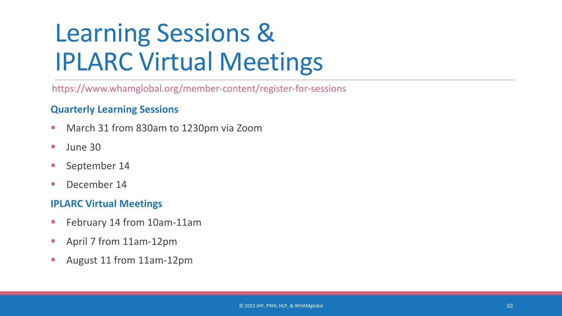# Learning Sessions & IPLARC Virtual Meetings

https://www.whamglobal.org/member-content/register-for-sessions

#### **Quarterly Learning Sessions**

- **March 31 from 830am to 1230pm via Zoom**
- $\blacksquare$  June 30
- **September 14**
- December 14

#### **IPLARC Virtual Meetings**

- **February 14 from 10am-11am**
- April 7 from 11am-12pm
- **August 11 from 11am-12pm**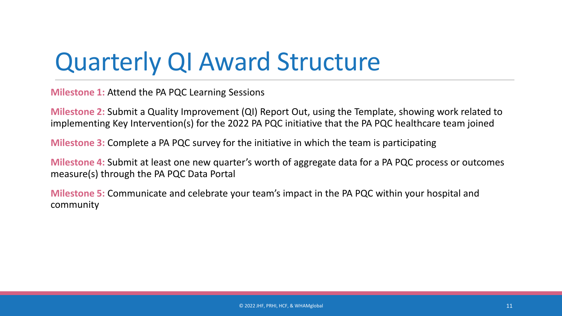## Quarterly QI Award Structure

**Milestone 1:** Attend the PA PQC Learning Sessions

**Milestone 2:** Submit a Quality Improvement (QI) Report Out, using the Template, showing work related to implementing Key Intervention(s) for the 2022 PA PQC initiative that the PA PQC healthcare team joined

**Milestone 3:** Complete a PA PQC survey for the initiative in which the team is participating

**Milestone 4:** Submit at least one new quarter's worth of aggregate data for a PA PQC process or outcomes measure(s) through the PA PQC Data Portal

**Milestone 5:** Communicate and celebrate your team's impact in the PA PQC within your hospital and community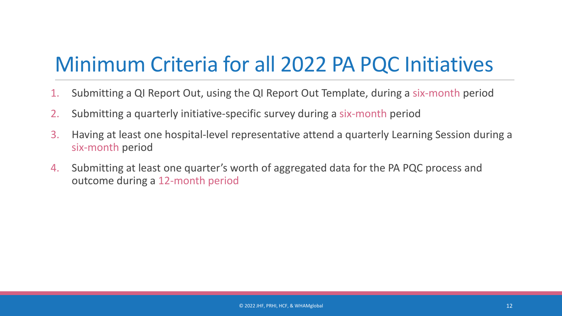## Minimum Criteria for all 2022 PA PQC Initiatives

- 1. Submitting a QI Report Out, using the QI Report Out Template, during a six-month period
- 2. Submitting a quarterly initiative-specific survey during a six-month period
- 3. Having at least one hospital-level representative attend a quarterly Learning Session during a six-month period
- 4. Submitting at least one quarter's worth of aggregated data for the PA PQC process and outcome during a 12-month period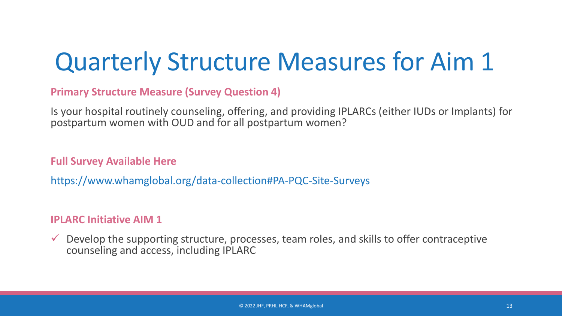## Quarterly Structure Measures for Aim 1

**Primary Structure Measure (Survey Question 4)** 

Is your hospital routinely counseling, offering, and providing IPLARCs (either IUDs or Implants) for postpartum women with OUD and for all postpartum women?

**Full Survey Available Here**

https://www.whamglobal.org/data-collection#PA-PQC-Site-Surveys

#### **IPLARC Initiative AIM 1**

 $\checkmark$  Develop the supporting structure, processes, team roles, and skills to offer contraceptive counseling and access, including IPLARC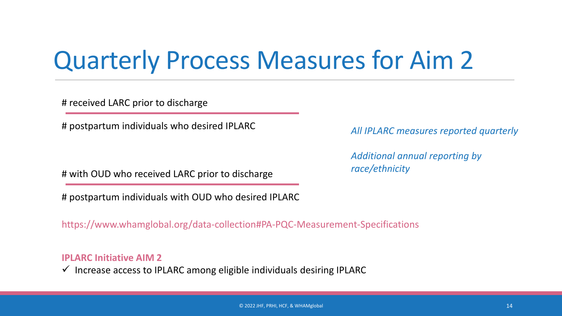## Quarterly Process Measures for Aim 2

# received LARC prior to discharge

# postpartum individuals who desired IPLARC

# with OUD who received LARC prior to discharge

# postpartum individuals with OUD who desired IPLARC

https://www.whamglobal.org/data-collection#PA-PQC-Measurement-Specifications

**IPLARC Initiative AIM 2**

 $\checkmark$  Increase access to IPLARC among eligible individuals desiring IPLARC

*All IPLARC measures reported quarterly*

*Additional annual reporting by race/ethnicity*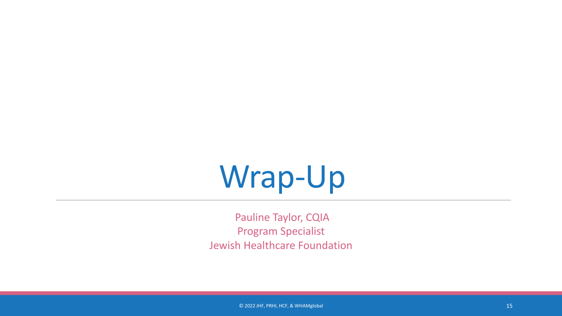# Wrap-Up

Pauline Taylor, CQIA Program Specialist Jewish Healthcare Foundation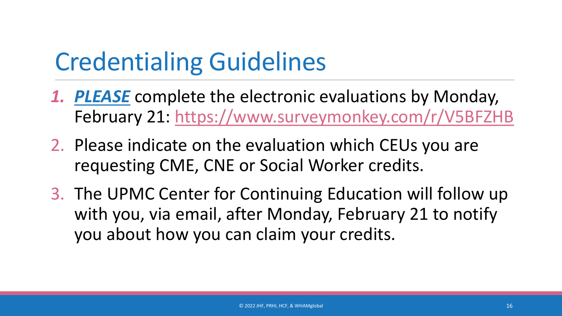## Credentialing Guidelines

- *1. PLEASE* complete the electronic evaluations by Monday, February 21: https://www.surveymonkey.com/r/V5BFZHB
- 2. Please indicate on the evaluation which CEUs you are requesting CME, CNE or Social Worker credits.
- 3. The UPMC Center for Continuing Education will follow up with you, via email, after Monday, February 21 to notify you about how you can claim your credits.